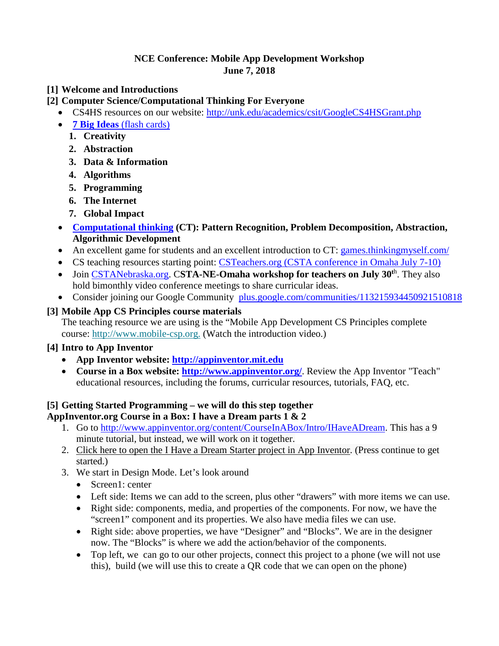### **NCE Conference: Mobile App Development Workshop June 7, 2018**

- **[1] Welcome and Introductions**
- **[2] Computer Science/Computational Thinking For Everyone**
	- CS4HS resources on our website: <http://unk.edu/academics/csit/GoogleCS4HSGrant.php>
	- **7 Big Ideas** [\(flash cards\)](https://quizlet.com/103595180/7-big-ideas-of-computer-science-flash-cards/)
		- **1. Creativity**
		- **2. Abstraction**
		- **3. Data & Information**
		- **4. Algorithms**
		- **5. Programming**
		- **6. The Internet**
		- **7. Global Impact**
	- **[Computational thinking](https://edu.google.com/resources/programs/exploring-computational-thinking/#!ct-overview) (CT): Pattern Recognition, Problem Decomposition, Abstraction, Algorithmic Development**
	- An excellent game for students and an excellent introduction to CT: [games.thinkingmyself.com/](http://games.thinkingmyself.com/)
	- CS teaching resources starting point: [CSTeachers.org](http://csteachers.org/) (CSTA conference in Omaha July 7-10)
	- Join [CSTANebraska.org.](http://cstanebraska.org/) CSTA-NE-Omaha workshop for teachers on July 30<sup>th</sup>. They also hold bimonthly video conference meetings to share curricular ideas.
	- Consider joining our Google Community [plus.google.com/communities/113215934450921510818](https://plus.google.com/communities/113215934450921510818)

# **[3] Mobile App CS Principles course materials**

The teaching resource we are using is the "Mobile App Development CS Principles complete course: [http://www.mobile-csp.org.](http://www.mobile-csp.org/) (Watch the introduction video.)

# **[4] Intro to App Inventor**

- **App Inventor website: [http://appinventor.mit.edu](http://appinventor.mit.edu/)**
- **Course in a Box website:<http://www.appinventor.org/>**. Review the App Inventor "Teach" educational resources, including the forums, curricular resources, tutorials, FAQ, etc.

# **[5] Getting Started Programming – we will do this step together**

**AppInventor.org Course in a Box: I have a Dream parts 1 & 2**

- 1. Go to [http://www.appinventor.org/content/CourseInABox/Intro/IHaveADream.](http://www.appinventor.org/content/CourseInABox/Intro/IHaveADream) This has a 9 minute tutorial, but instead, we will work on it together.
- 2. [Click here to open the I Have a Dream Starter project in App Inventor.](http://ai2.appinventor.mit.edu/?repo=templates.appinventor.mit.edu/trincoll/csp/unit2/templates/IHaveADreamStarter/IHaveADreamStarter.asc) (Press continue to get started.)
- 3. We start in Design Mode. Let's look around
	- Screen1: center
	- Left side: Items we can add to the screen, plus other "drawers" with more items we can use.
	- Right side: components, media, and properties of the components. For now, we have the "screen1" component and its properties. We also have media files we can use.
	- Right side: above properties, we have "Designer" and "Blocks". We are in the designer now. The "Blocks" is where we add the action/behavior of the components.
	- Top left, we can go to our other projects, connect this project to a phone (we will not use this), build (we will use this to create a QR code that we can open on the phone)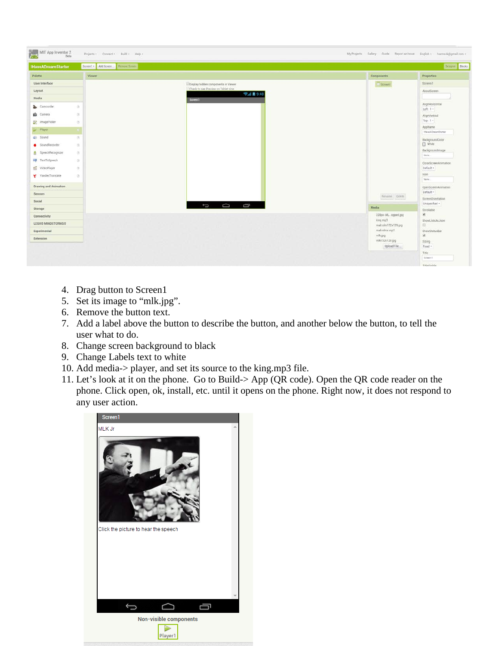| Palette<br>Components<br>Viewer<br>User Interface<br><b>EDusplay hidden</b> components in Viewer.<br>Screen1<br>Check to see Preview on Tablet size<br>Layout<br>→ 1 8 9:48<br>Media<br>Screen1<br>$\circ$<br>Camcorder<br>$\frac{1}{2}$<br>Camera<br><b>DE ImagePicker</b><br>$^{\circledR}$<br>$\langle \hat{\sigma} \rangle$<br>Player<br>gi Sound<br>$\langle \Psi \rangle$<br>SoundRecorder<br>œ.<br>db"<br>SpeechRecognizer<br>TextToSpeech<br>G<br>The VideoPlayer<br>$\infty$<br>Y YandexTranslate<br>$\begin{array}{c} \square \end{array}$<br>Drawing and Animation<br>Sensors<br>Rename Defete<br>Social<br>$\Box$<br>Ū<br>$\overline{C}$<br>Media<br>Storage<br>228px-MLopped.jpg<br>Connectivity<br>king mp3<br>LEGOS MINDSTORMSS<br>malcolm152x129.jpg |             | Drsight Blocks                     |
|----------------------------------------------------------------------------------------------------------------------------------------------------------------------------------------------------------------------------------------------------------------------------------------------------------------------------------------------------------------------------------------------------------------------------------------------------------------------------------------------------------------------------------------------------------------------------------------------------------------------------------------------------------------------------------------------------------------------------------------------------------------------|-------------|------------------------------------|
|                                                                                                                                                                                                                                                                                                                                                                                                                                                                                                                                                                                                                                                                                                                                                                      |             | Properties                         |
|                                                                                                                                                                                                                                                                                                                                                                                                                                                                                                                                                                                                                                                                                                                                                                      |             | Screen1                            |
|                                                                                                                                                                                                                                                                                                                                                                                                                                                                                                                                                                                                                                                                                                                                                                      |             | AboutScreen                        |
|                                                                                                                                                                                                                                                                                                                                                                                                                                                                                                                                                                                                                                                                                                                                                                      |             |                                    |
|                                                                                                                                                                                                                                                                                                                                                                                                                                                                                                                                                                                                                                                                                                                                                                      |             | AlignHorizontal<br>Left:1 -        |
|                                                                                                                                                                                                                                                                                                                                                                                                                                                                                                                                                                                                                                                                                                                                                                      |             | AlignVertical                      |
|                                                                                                                                                                                                                                                                                                                                                                                                                                                                                                                                                                                                                                                                                                                                                                      |             | $Top:1-$                           |
|                                                                                                                                                                                                                                                                                                                                                                                                                                                                                                                                                                                                                                                                                                                                                                      |             | AppName<br>HaveADreamStarter       |
|                                                                                                                                                                                                                                                                                                                                                                                                                                                                                                                                                                                                                                                                                                                                                                      |             | BackgroundColor                    |
|                                                                                                                                                                                                                                                                                                                                                                                                                                                                                                                                                                                                                                                                                                                                                                      |             | $\Box$ White                       |
|                                                                                                                                                                                                                                                                                                                                                                                                                                                                                                                                                                                                                                                                                                                                                                      |             | Backgroundimage<br>None            |
|                                                                                                                                                                                                                                                                                                                                                                                                                                                                                                                                                                                                                                                                                                                                                                      |             | CloseScreenAnimation               |
|                                                                                                                                                                                                                                                                                                                                                                                                                                                                                                                                                                                                                                                                                                                                                                      |             | Default -                          |
|                                                                                                                                                                                                                                                                                                                                                                                                                                                                                                                                                                                                                                                                                                                                                                      |             | loon<br>Nove.                      |
|                                                                                                                                                                                                                                                                                                                                                                                                                                                                                                                                                                                                                                                                                                                                                                      |             | OpenScreenAnimation                |
|                                                                                                                                                                                                                                                                                                                                                                                                                                                                                                                                                                                                                                                                                                                                                                      |             | Default -                          |
|                                                                                                                                                                                                                                                                                                                                                                                                                                                                                                                                                                                                                                                                                                                                                                      |             | ScreenDrientation<br>Unspecified - |
|                                                                                                                                                                                                                                                                                                                                                                                                                                                                                                                                                                                                                                                                                                                                                                      |             | Scrollable                         |
|                                                                                                                                                                                                                                                                                                                                                                                                                                                                                                                                                                                                                                                                                                                                                                      |             | Ø.                                 |
|                                                                                                                                                                                                                                                                                                                                                                                                                                                                                                                                                                                                                                                                                                                                                                      |             | ShowListsAsJoon<br>画               |
| malcolmx.mp3<br>Experimental                                                                                                                                                                                                                                                                                                                                                                                                                                                                                                                                                                                                                                                                                                                                         |             | ShowStatusBar<br>Ø.                |
| mik.jpg<br>Extension<br>mlk152x129.jpg                                                                                                                                                                                                                                                                                                                                                                                                                                                                                                                                                                                                                                                                                                                               |             | Sizing                             |
|                                                                                                                                                                                                                                                                                                                                                                                                                                                                                                                                                                                                                                                                                                                                                                      | Upload File | Fixed -                            |

- 4. Drag button to Screen1
- 5. Set its image to "mlk.jpg".
- 6. Remove the button text.
- 7. Add a label above the button to describe the button, and another below the button, to tell the user what to do.
- 8. Change screen background to black
- 9. Change Labels text to white
- 10. Add media-> player, and set its source to the king.mp3 file.
- 11. Let's look at it on the phone. Go to Build-> App (QR code). Open the QR code reader on the phone. Click open, ok, install, etc. until it opens on the phone. Right now, it does not respond to any user action.

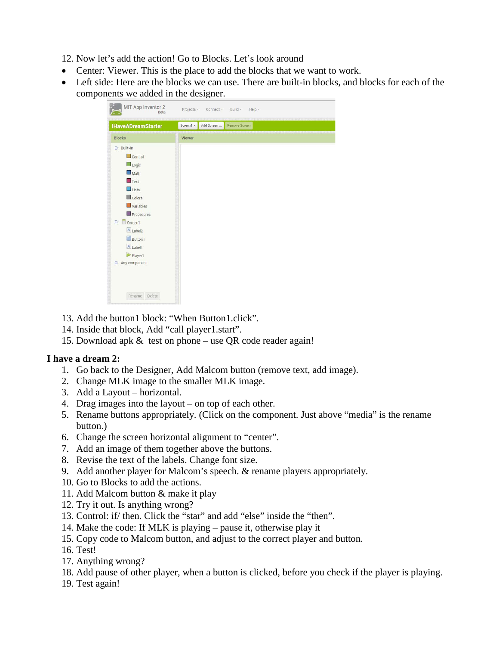12. Now let's add the action! Go to Blocks. Let's look around

- Center: Viewer. This is the place to add the blocks that we want to work.
- Left side: Here are the blocks we can use. There are built-in blocks, and blocks for each of the components we added in the designer.

| <b>IHaveADreamStarter</b> | Screen1 + | Add Screen | Remove Screen |  |  |
|---------------------------|-----------|------------|---------------|--|--|
| <b>Blocks</b>             | Viewer    |            |               |  |  |
| <b>□</b> Built-in         |           |            |               |  |  |
| $\Box$ Control            |           |            |               |  |  |
| Logic                     |           |            |               |  |  |
| Math                      |           |            |               |  |  |
| $T$ Text                  |           |            |               |  |  |
| $\Box$ Lists              |           |            |               |  |  |
| Colors                    |           |            |               |  |  |
| <b>Variables</b>          |           |            |               |  |  |
| Procedures                |           |            |               |  |  |
| Screen1<br>$\blacksquare$ |           |            |               |  |  |
|                           |           |            |               |  |  |
| A Label <sub>2</sub>      |           |            |               |  |  |
| <b>Button1</b>            |           |            |               |  |  |
| A Label1                  |           |            |               |  |  |
| Player1                   |           |            |               |  |  |
| <b>E</b> Any component    |           |            |               |  |  |
|                           |           |            |               |  |  |

- 13. Add the button1 block: "When Button1.click".
- 14. Inside that block, Add "call player1.start".
- 15. Download apk & test on phone use QR code reader again!

### **I have a dream 2:**

- 1. Go back to the Designer, Add Malcom button (remove text, add image).
- 2. Change MLK image to the smaller MLK image.
- 3. Add a Layout horizontal.
- 4. Drag images into the layout on top of each other.
- 5. Rename buttons appropriately. (Click on the component. Just above "media" is the rename button.)
- 6. Change the screen horizontal alignment to "center".
- 7. Add an image of them together above the buttons.
- 8. Revise the text of the labels. Change font size.
- 9. Add another player for Malcom's speech. & rename players appropriately.
- 10. Go to Blocks to add the actions.
- 11. Add Malcom button & make it play
- 12. Try it out. Is anything wrong?
- 13. Control: if/ then. Click the "star" and add "else" inside the "then".
- 14. Make the code: If MLK is playing pause it, otherwise play it
- 15. Copy code to Malcom button, and adjust to the correct player and button.
- 16. Test!
- 17. Anything wrong?
- 18. Add pause of other player, when a button is clicked, before you check if the player is playing.
- 19. Test again!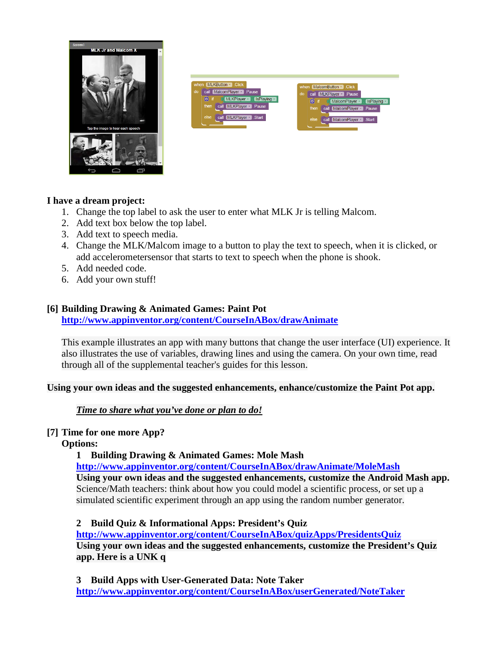

| when MLKButton Click<br>call MalcomPlayer • Pause<br>do<br>if $\Box$ MLKPlayer $\Box$ IsPlaying $\Box$<br>$\Theta$<br>call MLKPlayer D.Pause<br>then,<br>else<br>call MLKPlayer Start | MalcomButton - Click<br>when<br>do<br>call MLKPlayer · Pause<br>MalcomPlayer v BPlaying v<br>$\boxed{a}$ if<br>call MalcomPlayer Pause<br>then<br>call MalcomPlayer Start<br>else |
|---------------------------------------------------------------------------------------------------------------------------------------------------------------------------------------|-----------------------------------------------------------------------------------------------------------------------------------------------------------------------------------|
|---------------------------------------------------------------------------------------------------------------------------------------------------------------------------------------|-----------------------------------------------------------------------------------------------------------------------------------------------------------------------------------|

#### **I have a dream project:**

- 1. Change the top label to ask the user to enter what MLK Jr is telling Malcom.
- 2. Add text box below the top label.
- 3. Add text to speech media.
- 4. Change the MLK/Malcom image to a button to play the text to speech, when it is clicked, or add accelerometersensor that starts to text to speech when the phone is shook.
- 5. Add needed code.
- 6. Add your own stuff!

### **[6] Building Drawing & Animated Games: Paint Pot**

**<http://www.appinventor.org/content/CourseInABox/drawAnimate>**

This example illustrates an app with many buttons that change the user interface (UI) experience. It also illustrates the use of variables, drawing lines and using the camera. On your own time, read through all of the supplemental teacher's guides for this lesson.

**Using your own ideas and the suggested enhancements, enhance/customize the Paint Pot app.**

*Time to share what you've done or plan to do!*

### **[7] Time for one more App?**

**Options:**

**1 Building Drawing & Animated Games: Mole Mash**

**<http://www.appinventor.org/content/CourseInABox/drawAnimate/MoleMash> Using your own ideas and the suggested enhancements, customize the Android Mash app.** Science/Math teachers: think about how you could model a scientific process, or set up a simulated scientific experiment through an app using the random number generator.

**2 Build Quiz & Informational Apps: President's Quiz <http://www.appinventor.org/content/CourseInABox/quizApps/PresidentsQuiz> Using your own ideas and the suggested enhancements, customize the President's Quiz app. Here is a UNK q**

**3 Build Apps with User-Generated Data: Note Taker <http://www.appinventor.org/content/CourseInABox/userGenerated/NoteTaker>**